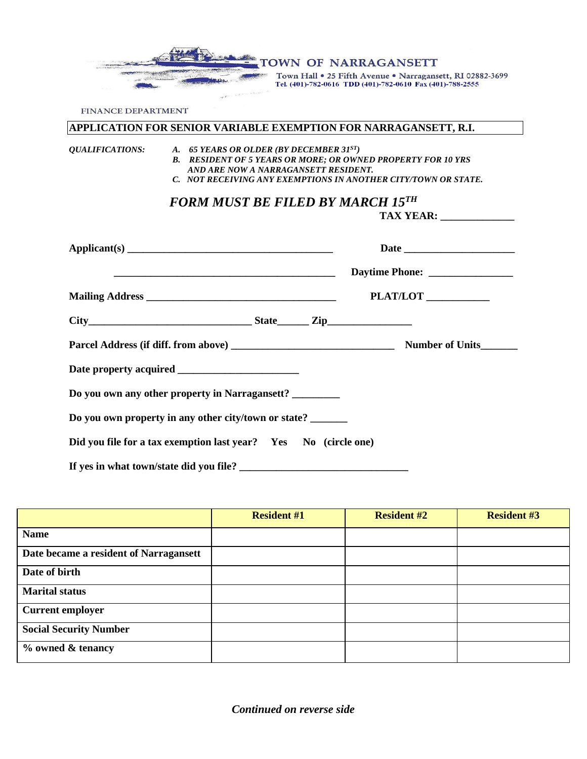TOWN OF NARRAGANSETT Town Hall . 25 Fifth Avenue . Narragansett, RI 02882-3699 Tel. (401)-782-0616 TDD (401)-782-0610 Fax (401)-788-2555

**TAX YEAR: \_\_\_\_\_\_\_\_\_\_\_\_\_\_**

FINANCE DEPARTMENT

#### **APPLICATION FOR SENIOR VARIABLE EXEMPTION FOR NARRAGANSETT, R.I.**

#### *QUALIFICATIONS: A. 65 YEARS OR OLDER (BY DECEMBER 31ST)*

- *B. RESIDENT OF 5 YEARS OR MORE; OR OWNED PROPERTY FOR 10 YRS AND ARE NOW A NARRAGANSETT RESIDENT.*
- *C. NOT RECEIVING ANY EXEMPTIONS IN ANOTHER CITY/TOWN OR STATE.*

# *FORM MUST BE FILED BY MARCH 15TH*

|                                                                 | PLAT/LOT |
|-----------------------------------------------------------------|----------|
| $City$ $City$ $Step$ $Line$ $Zip$                               |          |
|                                                                 |          |
|                                                                 |          |
| Do you own any other property in Narragansett? _______          |          |
| Do you own property in any other city/town or state? ______     |          |
| Did you file for a tax exemption last year? Yes No (circle one) |          |
|                                                                 |          |

|                                        | <b>Resident #1</b> | <b>Resident #2</b> | <b>Resident #3</b> |
|----------------------------------------|--------------------|--------------------|--------------------|
| <b>Name</b>                            |                    |                    |                    |
| Date became a resident of Narragansett |                    |                    |                    |
| Date of birth                          |                    |                    |                    |
| <b>Marital status</b>                  |                    |                    |                    |
| <b>Current employer</b>                |                    |                    |                    |
| <b>Social Security Number</b>          |                    |                    |                    |
| % owned & tenancy                      |                    |                    |                    |

*Continued on reverse side*